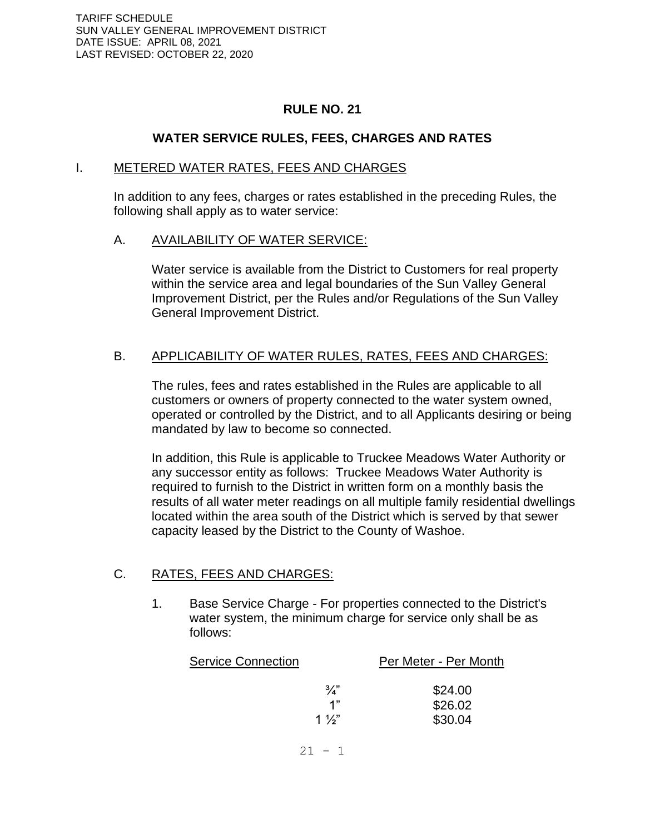## **RULE NO. 21**

## **WATER SERVICE RULES, FEES, CHARGES AND RATES**

#### I. METERED WATER RATES, FEES AND CHARGES

In addition to any fees, charges or rates established in the preceding Rules, the following shall apply as to water service:

#### A. AVAILABILITY OF WATER SERVICE:

Water service is available from the District to Customers for real property within the service area and legal boundaries of the Sun Valley General Improvement District, per the Rules and/or Regulations of the Sun Valley General Improvement District.

### B. APPLICABILITY OF WATER RULES, RATES, FEES AND CHARGES:

The rules, fees and rates established in the Rules are applicable to all customers or owners of property connected to the water system owned, operated or controlled by the District, and to all Applicants desiring or being mandated by law to become so connected.

In addition, this Rule is applicable to Truckee Meadows Water Authority or any successor entity as follows: Truckee Meadows Water Authority is required to furnish to the District in written form on a monthly basis the results of all water meter readings on all multiple family residential dwellings located within the area south of the District which is served by that sewer capacity leased by the District to the County of Washoe.

### C. RATES, FEES AND CHARGES:

1. Base Service Charge - For properties connected to the District's water system, the minimum charge for service only shall be as follows:

| Per Meter - Per Month<br><b>Service Connection</b> |                                                      |
|----------------------------------------------------|------------------------------------------------------|
| $1\frac{1}{2}$                                     | $\frac{3}{4}$<br>\$24.00<br>\$26.02<br>1"<br>\$30.04 |
|                                                    |                                                      |

 $21 - 1$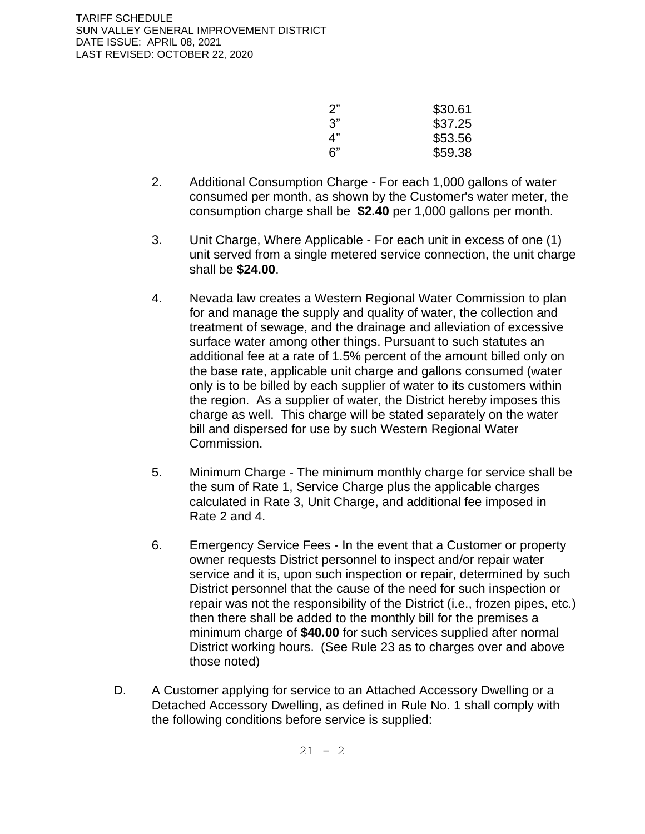| 2" | \$30.61 |
|----|---------|
| 3" | \$37.25 |
| ⊿" | \$53.56 |
| 6" | \$59.38 |

- 2. Additional Consumption Charge For each 1,000 gallons of water consumed per month, as shown by the Customer's water meter, the consumption charge shall be **\$2.40** per 1,000 gallons per month.
- 3. Unit Charge, Where Applicable For each unit in excess of one (1) unit served from a single metered service connection, the unit charge shall be **\$24.00**.
- 4. Nevada law creates a Western Regional Water Commission to plan for and manage the supply and quality of water, the collection and treatment of sewage, and the drainage and alleviation of excessive surface water among other things. Pursuant to such statutes an additional fee at a rate of 1.5% percent of the amount billed only on the base rate, applicable unit charge and gallons consumed (water only is to be billed by each supplier of water to its customers within the region. As a supplier of water, the District hereby imposes this charge as well. This charge will be stated separately on the water bill and dispersed for use by such Western Regional Water Commission.
- 5. Minimum Charge The minimum monthly charge for service shall be the sum of Rate 1, Service Charge plus the applicable charges calculated in Rate 3, Unit Charge, and additional fee imposed in Rate 2 and 4.
- 6. Emergency Service Fees In the event that a Customer or property owner requests District personnel to inspect and/or repair water service and it is, upon such inspection or repair, determined by such District personnel that the cause of the need for such inspection or repair was not the responsibility of the District (i.e., frozen pipes, etc.) then there shall be added to the monthly bill for the premises a minimum charge of **\$40.00** for such services supplied after normal District working hours. (See Rule 23 as to charges over and above those noted)
- D. A Customer applying for service to an Attached Accessory Dwelling or a Detached Accessory Dwelling, as defined in Rule No. 1 shall comply with the following conditions before service is supplied: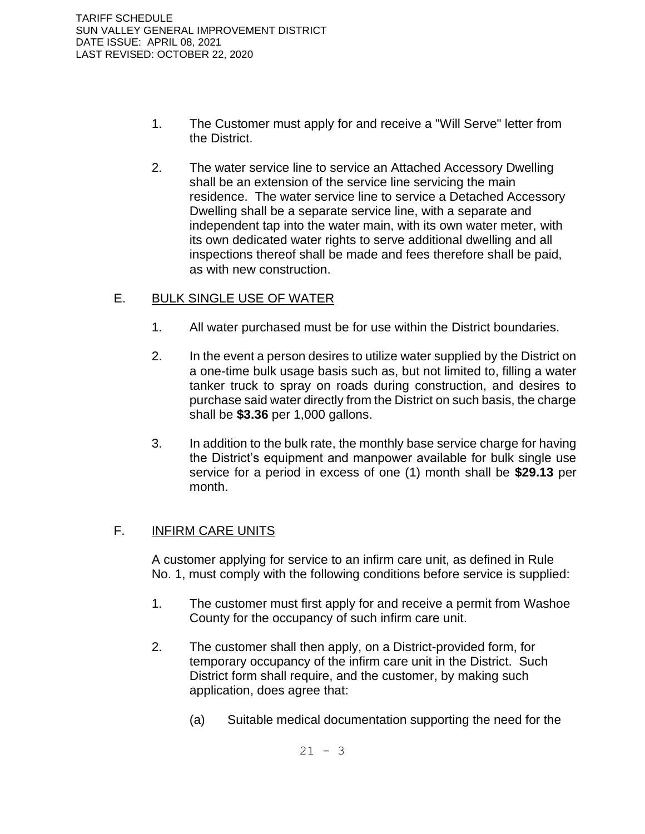- 1. The Customer must apply for and receive a "Will Serve" letter from the District.
- 2. The water service line to service an Attached Accessory Dwelling shall be an extension of the service line servicing the main residence. The water service line to service a Detached Accessory Dwelling shall be a separate service line, with a separate and independent tap into the water main, with its own water meter, with its own dedicated water rights to serve additional dwelling and all inspections thereof shall be made and fees therefore shall be paid, as with new construction.

## E. BULK SINGLE USE OF WATER

- 1. All water purchased must be for use within the District boundaries.
- 2. In the event a person desires to utilize water supplied by the District on a one-time bulk usage basis such as, but not limited to, filling a water tanker truck to spray on roads during construction, and desires to purchase said water directly from the District on such basis, the charge shall be **\$3.36** per 1,000 gallons.
- 3. In addition to the bulk rate, the monthly base service charge for having the District's equipment and manpower available for bulk single use service for a period in excess of one (1) month shall be **\$29.13** per month.

### F. **INFIRM CARE UNITS**

A customer applying for service to an infirm care unit, as defined in Rule No. 1, must comply with the following conditions before service is supplied:

- 1. The customer must first apply for and receive a permit from Washoe County for the occupancy of such infirm care unit.
- 2. The customer shall then apply, on a District-provided form, for temporary occupancy of the infirm care unit in the District. Such District form shall require, and the customer, by making such application, does agree that:
	- (a) Suitable medical documentation supporting the need for the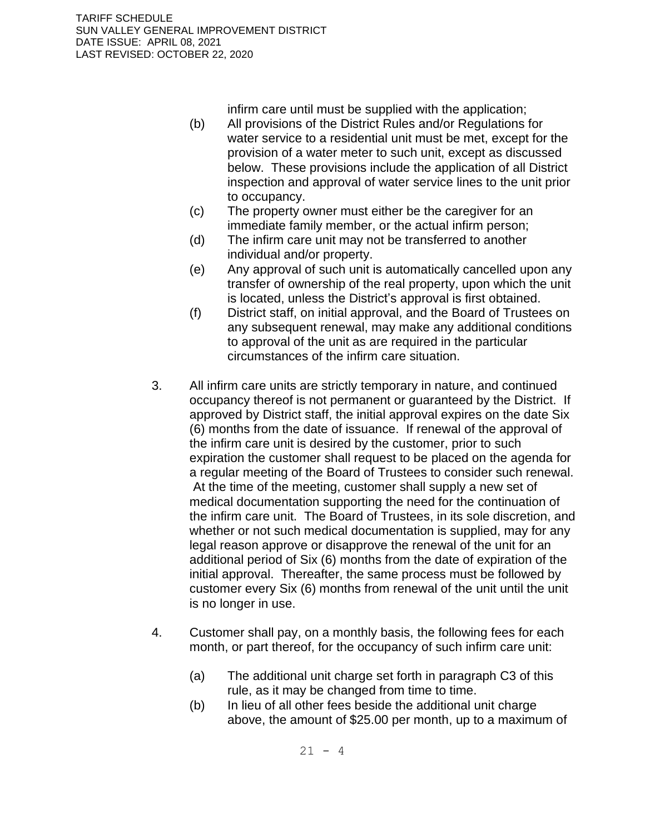infirm care until must be supplied with the application;

- (b) All provisions of the District Rules and/or Regulations for water service to a residential unit must be met, except for the provision of a water meter to such unit, except as discussed below. These provisions include the application of all District inspection and approval of water service lines to the unit prior to occupancy.
- (c) The property owner must either be the caregiver for an immediate family member, or the actual infirm person;
- (d) The infirm care unit may not be transferred to another individual and/or property.
- (e) Any approval of such unit is automatically cancelled upon any transfer of ownership of the real property, upon which the unit is located, unless the District's approval is first obtained.
- (f) District staff, on initial approval, and the Board of Trustees on any subsequent renewal, may make any additional conditions to approval of the unit as are required in the particular circumstances of the infirm care situation.
- 3. All infirm care units are strictly temporary in nature, and continued occupancy thereof is not permanent or guaranteed by the District. If approved by District staff, the initial approval expires on the date Six (6) months from the date of issuance. If renewal of the approval of the infirm care unit is desired by the customer, prior to such expiration the customer shall request to be placed on the agenda for a regular meeting of the Board of Trustees to consider such renewal. At the time of the meeting, customer shall supply a new set of medical documentation supporting the need for the continuation of the infirm care unit. The Board of Trustees, in its sole discretion, and whether or not such medical documentation is supplied, may for any legal reason approve or disapprove the renewal of the unit for an additional period of Six (6) months from the date of expiration of the initial approval. Thereafter, the same process must be followed by customer every Six (6) months from renewal of the unit until the unit is no longer in use.
- 4. Customer shall pay, on a monthly basis, the following fees for each month, or part thereof, for the occupancy of such infirm care unit:
	- (a) The additional unit charge set forth in paragraph C3 of this rule, as it may be changed from time to time.
	- (b) In lieu of all other fees beside the additional unit charge above, the amount of \$25.00 per month, up to a maximum of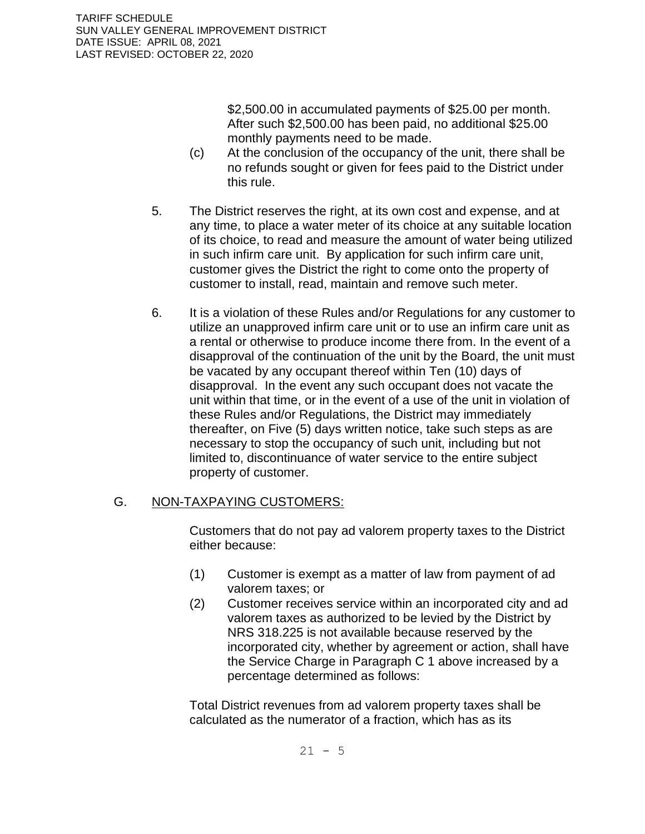\$2,500.00 in accumulated payments of \$25.00 per month. After such \$2,500.00 has been paid, no additional \$25.00 monthly payments need to be made.

- (c) At the conclusion of the occupancy of the unit, there shall be no refunds sought or given for fees paid to the District under this rule.
- 5. The District reserves the right, at its own cost and expense, and at any time, to place a water meter of its choice at any suitable location of its choice, to read and measure the amount of water being utilized in such infirm care unit. By application for such infirm care unit, customer gives the District the right to come onto the property of customer to install, read, maintain and remove such meter.
- 6. It is a violation of these Rules and/or Regulations for any customer to utilize an unapproved infirm care unit or to use an infirm care unit as a rental or otherwise to produce income there from. In the event of a disapproval of the continuation of the unit by the Board, the unit must be vacated by any occupant thereof within Ten (10) days of disapproval. In the event any such occupant does not vacate the unit within that time, or in the event of a use of the unit in violation of these Rules and/or Regulations, the District may immediately thereafter, on Five (5) days written notice, take such steps as are necessary to stop the occupancy of such unit, including but not limited to, discontinuance of water service to the entire subject property of customer.

### G. NON-TAXPAYING CUSTOMERS:

Customers that do not pay ad valorem property taxes to the District either because:

- (1) Customer is exempt as a matter of law from payment of ad valorem taxes; or
- (2) Customer receives service within an incorporated city and ad valorem taxes as authorized to be levied by the District by NRS 318.225 is not available because reserved by the incorporated city, whether by agreement or action, shall have the Service Charge in Paragraph C 1 above increased by a percentage determined as follows:

Total District revenues from ad valorem property taxes shall be calculated as the numerator of a fraction, which has as its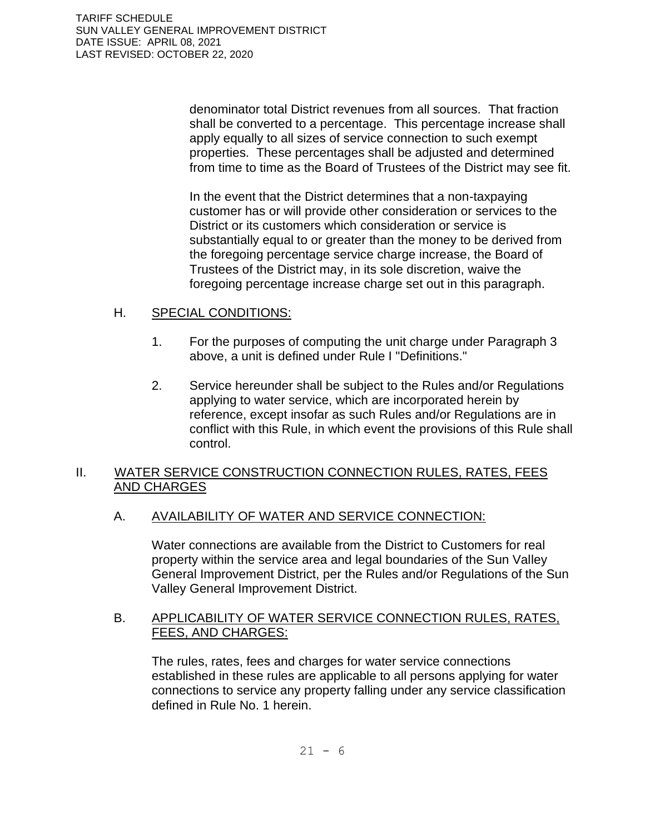denominator total District revenues from all sources. That fraction shall be converted to a percentage. This percentage increase shall apply equally to all sizes of service connection to such exempt properties. These percentages shall be adjusted and determined from time to time as the Board of Trustees of the District may see fit.

In the event that the District determines that a non-taxpaying customer has or will provide other consideration or services to the District or its customers which consideration or service is substantially equal to or greater than the money to be derived from the foregoing percentage service charge increase, the Board of Trustees of the District may, in its sole discretion, waive the foregoing percentage increase charge set out in this paragraph.

### H. SPECIAL CONDITIONS:

- 1. For the purposes of computing the unit charge under Paragraph 3 above, a unit is defined under Rule I "Definitions."
- 2. Service hereunder shall be subject to the Rules and/or Regulations applying to water service, which are incorporated herein by reference, except insofar as such Rules and/or Regulations are in conflict with this Rule, in which event the provisions of this Rule shall control.

## II. WATER SERVICE CONSTRUCTION CONNECTION RULES, RATES, FEES AND CHARGES

## A. AVAILABILITY OF WATER AND SERVICE CONNECTION:

Water connections are available from the District to Customers for real property within the service area and legal boundaries of the Sun Valley General Improvement District, per the Rules and/or Regulations of the Sun Valley General Improvement District.

### B. APPLICABILITY OF WATER SERVICE CONNECTION RULES, RATES, FEES, AND CHARGES:

The rules, rates, fees and charges for water service connections established in these rules are applicable to all persons applying for water connections to service any property falling under any service classification defined in Rule No. 1 herein.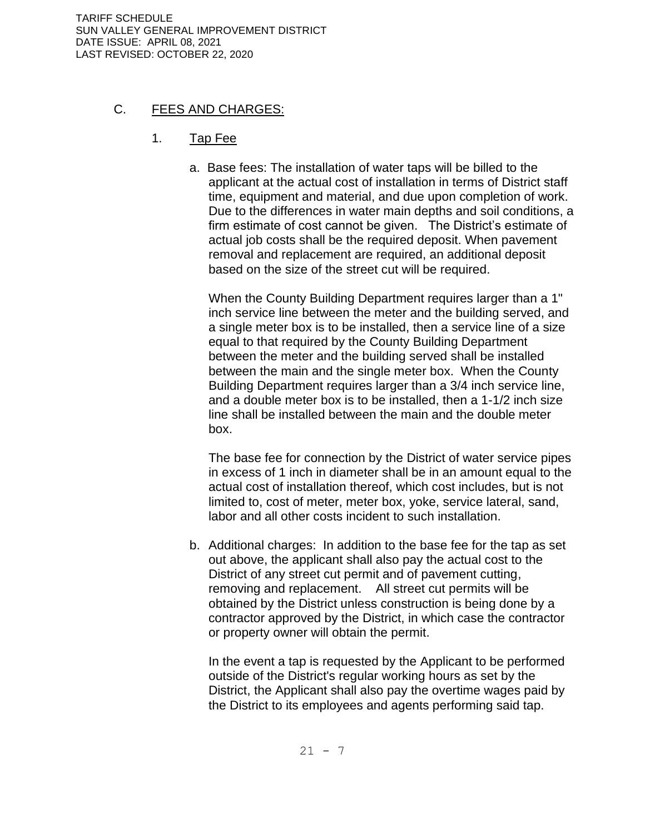TARIFF SCHEDULE SUN VALLEY GENERAL IMPROVEMENT DISTRICT DATE ISSUE: APRIL 08, 2021 LAST REVISED: OCTOBER 22, 2020

## C. FEES AND CHARGES:

## 1. Tap Fee

a. Base fees: The installation of water taps will be billed to the applicant at the actual cost of installation in terms of District staff time, equipment and material, and due upon completion of work. Due to the differences in water main depths and soil conditions, a firm estimate of cost cannot be given. The District's estimate of actual job costs shall be the required deposit. When pavement removal and replacement are required, an additional deposit based on the size of the street cut will be required.

When the County Building Department requires larger than a 1" inch service line between the meter and the building served, and a single meter box is to be installed, then a service line of a size equal to that required by the County Building Department between the meter and the building served shall be installed between the main and the single meter box. When the County Building Department requires larger than a 3/4 inch service line, and a double meter box is to be installed, then a 1-1/2 inch size line shall be installed between the main and the double meter box.

The base fee for connection by the District of water service pipes in excess of 1 inch in diameter shall be in an amount equal to the actual cost of installation thereof, which cost includes, but is not limited to, cost of meter, meter box, yoke, service lateral, sand, labor and all other costs incident to such installation.

b. Additional charges: In addition to the base fee for the tap as set out above, the applicant shall also pay the actual cost to the District of any street cut permit and of pavement cutting, removing and replacement. All street cut permits will be obtained by the District unless construction is being done by a contractor approved by the District, in which case the contractor or property owner will obtain the permit.

In the event a tap is requested by the Applicant to be performed outside of the District's regular working hours as set by the District, the Applicant shall also pay the overtime wages paid by the District to its employees and agents performing said tap.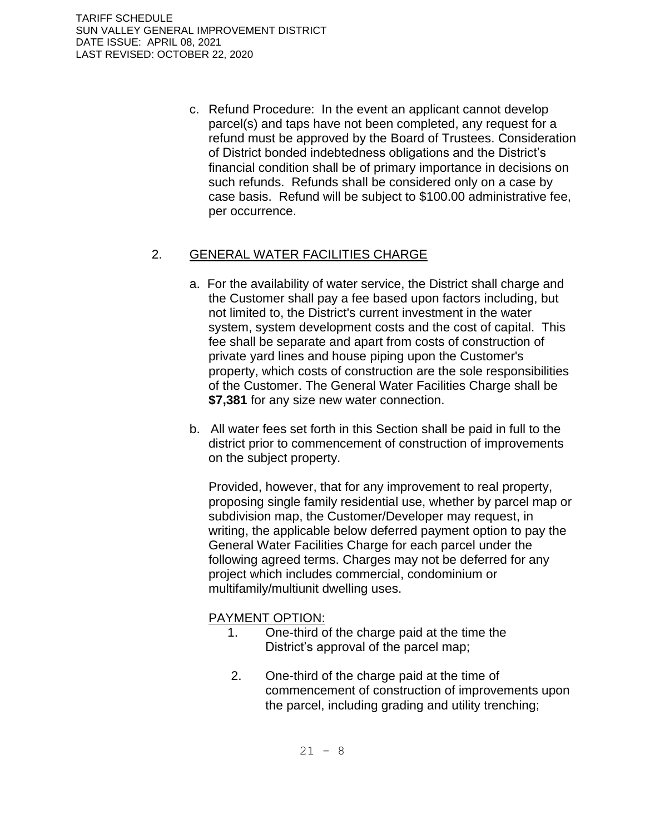c. Refund Procedure: In the event an applicant cannot develop parcel(s) and taps have not been completed, any request for a refund must be approved by the Board of Trustees. Consideration of District bonded indebtedness obligations and the District's financial condition shall be of primary importance in decisions on such refunds. Refunds shall be considered only on a case by case basis. Refund will be subject to \$100.00 administrative fee, per occurrence.

# 2. GENERAL WATER FACILITIES CHARGE

- a. For the availability of water service, the District shall charge and the Customer shall pay a fee based upon factors including, but not limited to, the District's current investment in the water system, system development costs and the cost of capital. This fee shall be separate and apart from costs of construction of private yard lines and house piping upon the Customer's property, which costs of construction are the sole responsibilities of the Customer. The General Water Facilities Charge shall be **\$7,381** for any size new water connection.
- b. All water fees set forth in this Section shall be paid in full to the district prior to commencement of construction of improvements on the subject property.

Provided, however, that for any improvement to real property, proposing single family residential use, whether by parcel map or subdivision map, the Customer/Developer may request, in writing, the applicable below deferred payment option to pay the General Water Facilities Charge for each parcel under the following agreed terms. Charges may not be deferred for any project which includes commercial, condominium or multifamily/multiunit dwelling uses.

### PAYMENT OPTION:

- 1. One-third of the charge paid at the time the District's approval of the parcel map;
- 2. One-third of the charge paid at the time of commencement of construction of improvements upon the parcel, including grading and utility trenching;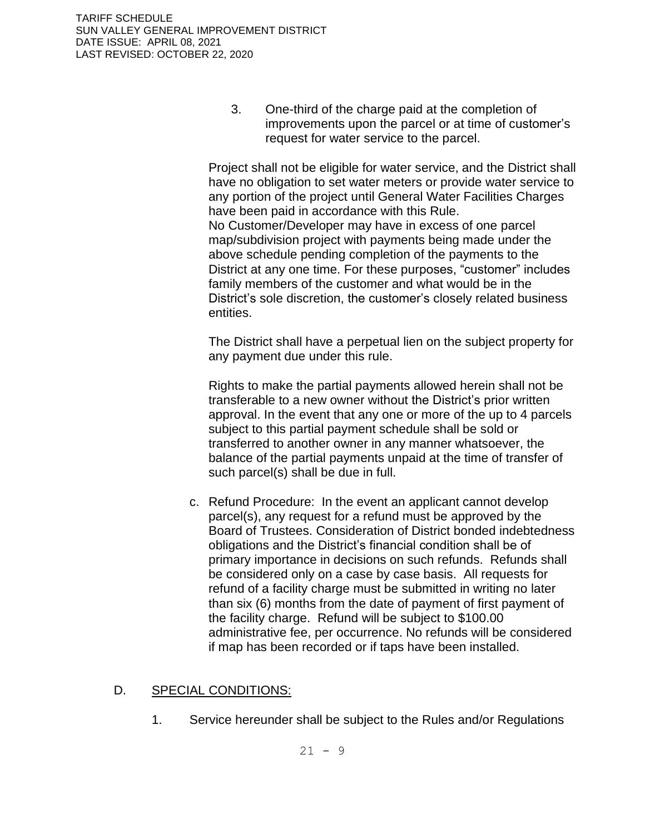3. One-third of the charge paid at the completion of improvements upon the parcel or at time of customer's request for water service to the parcel.

Project shall not be eligible for water service, and the District shall have no obligation to set water meters or provide water service to any portion of the project until General Water Facilities Charges have been paid in accordance with this Rule. No Customer/Developer may have in excess of one parcel map/subdivision project with payments being made under the above schedule pending completion of the payments to the District at any one time. For these purposes, "customer" includes family members of the customer and what would be in the District's sole discretion, the customer's closely related business entities.

The District shall have a perpetual lien on the subject property for any payment due under this rule.

Rights to make the partial payments allowed herein shall not be transferable to a new owner without the District's prior written approval. In the event that any one or more of the up to 4 parcels subject to this partial payment schedule shall be sold or transferred to another owner in any manner whatsoever, the balance of the partial payments unpaid at the time of transfer of such parcel(s) shall be due in full.

c. Refund Procedure: In the event an applicant cannot develop parcel(s), any request for a refund must be approved by the Board of Trustees. Consideration of District bonded indebtedness obligations and the District's financial condition shall be of primary importance in decisions on such refunds. Refunds shall be considered only on a case by case basis. All requests for refund of a facility charge must be submitted in writing no later than six (6) months from the date of payment of first payment of the facility charge. Refund will be subject to \$100.00 administrative fee, per occurrence. No refunds will be considered if map has been recorded or if taps have been installed.

## D. SPECIAL CONDITIONS:

1. Service hereunder shall be subject to the Rules and/or Regulations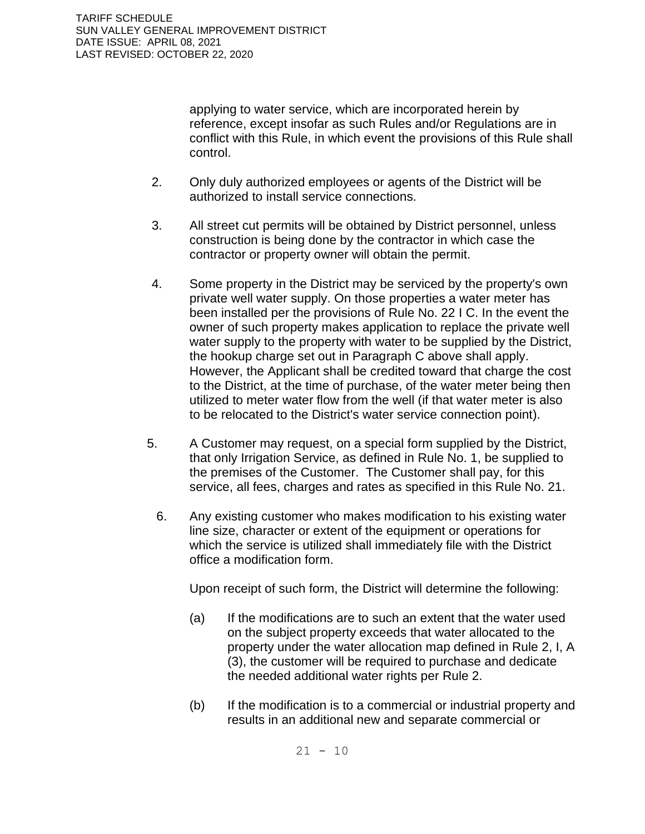applying to water service, which are incorporated herein by reference, except insofar as such Rules and/or Regulations are in conflict with this Rule, in which event the provisions of this Rule shall control.

- 2. Only duly authorized employees or agents of the District will be authorized to install service connections.
- 3. All street cut permits will be obtained by District personnel, unless construction is being done by the contractor in which case the contractor or property owner will obtain the permit.
- 4. Some property in the District may be serviced by the property's own private well water supply. On those properties a water meter has been installed per the provisions of Rule No. 22 I C. In the event the owner of such property makes application to replace the private well water supply to the property with water to be supplied by the District, the hookup charge set out in Paragraph C above shall apply. However, the Applicant shall be credited toward that charge the cost to the District, at the time of purchase, of the water meter being then utilized to meter water flow from the well (if that water meter is also to be relocated to the District's water service connection point).
- 5. A Customer may request, on a special form supplied by the District, that only Irrigation Service, as defined in Rule No. 1, be supplied to the premises of the Customer. The Customer shall pay, for this service, all fees, charges and rates as specified in this Rule No. 21.
	- 6. Any existing customer who makes modification to his existing water line size, character or extent of the equipment or operations for which the service is utilized shall immediately file with the District office a modification form.

Upon receipt of such form, the District will determine the following:

- (a) If the modifications are to such an extent that the water used on the subject property exceeds that water allocated to the property under the water allocation map defined in Rule 2, I, A (3), the customer will be required to purchase and dedicate the needed additional water rights per Rule 2.
- (b) If the modification is to a commercial or industrial property and results in an additional new and separate commercial or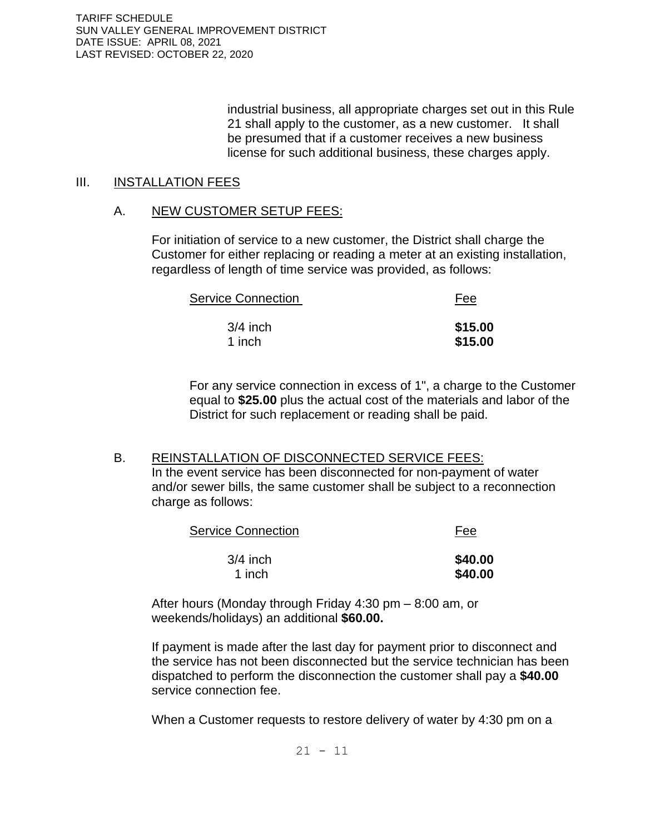TARIFF SCHEDULE SUN VALLEY GENERAL IMPROVEMENT DISTRICT DATE ISSUE: APRIL 08, 2021 LAST REVISED: OCTOBER 22, 2020

> industrial business, all appropriate charges set out in this Rule 21 shall apply to the customer, as a new customer. It shall be presumed that if a customer receives a new business license for such additional business, these charges apply.

#### III. INSTALLATION FEES

#### A. NEW CUSTOMER SETUP FEES:

For initiation of service to a new customer, the District shall charge the Customer for either replacing or reading a meter at an existing installation, regardless of length of time service was provided, as follows:

| <b>Service Connection</b> | <u>Fee</u> |
|---------------------------|------------|
| $3/4$ inch                | \$15.00    |
| 1 inch                    | \$15.00    |

For any service connection in excess of 1", a charge to the Customer equal to **\$25.00** plus the actual cost of the materials and labor of the District for such replacement or reading shall be paid.

#### B. REINSTALLATION OF DISCONNECTED SERVICE FEES:

In the event service has been disconnected for non-payment of water and/or sewer bills, the same customer shall be subject to a reconnection charge as follows:

| <b>Service Connection</b> | Fee     |
|---------------------------|---------|
| $3/4$ inch                | \$40.00 |
| 1 inch                    | \$40.00 |

After hours (Monday through Friday 4:30 pm – 8:00 am, or weekends/holidays) an additional **\$60.00.**

If payment is made after the last day for payment prior to disconnect and the service has not been disconnected but the service technician has been dispatched to perform the disconnection the customer shall pay a **\$40.00** service connection fee.

When a Customer requests to restore delivery of water by 4:30 pm on a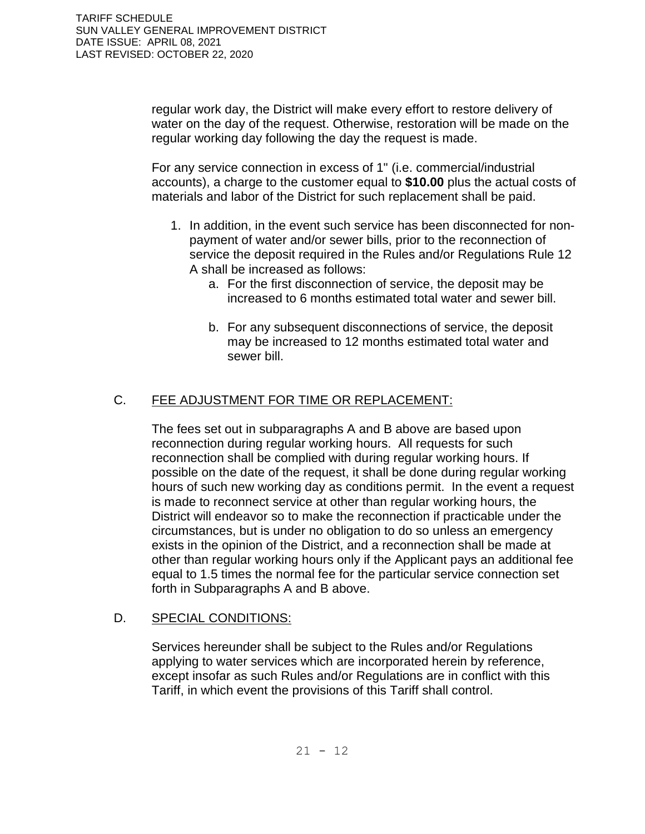regular work day, the District will make every effort to restore delivery of water on the day of the request. Otherwise, restoration will be made on the regular working day following the day the request is made.

For any service connection in excess of 1" (i.e. commercial/industrial accounts), a charge to the customer equal to **\$10.00** plus the actual costs of materials and labor of the District for such replacement shall be paid.

- 1. In addition, in the event such service has been disconnected for nonpayment of water and/or sewer bills, prior to the reconnection of service the deposit required in the Rules and/or Regulations Rule 12 A shall be increased as follows:
	- a. For the first disconnection of service, the deposit may be increased to 6 months estimated total water and sewer bill.
	- b. For any subsequent disconnections of service, the deposit may be increased to 12 months estimated total water and sewer bill.

# C. FEE ADJUSTMENT FOR TIME OR REPLACEMENT:

The fees set out in subparagraphs A and B above are based upon reconnection during regular working hours. All requests for such reconnection shall be complied with during regular working hours. If possible on the date of the request, it shall be done during regular working hours of such new working day as conditions permit. In the event a request is made to reconnect service at other than regular working hours, the District will endeavor so to make the reconnection if practicable under the circumstances, but is under no obligation to do so unless an emergency exists in the opinion of the District, and a reconnection shall be made at other than regular working hours only if the Applicant pays an additional fee equal to 1.5 times the normal fee for the particular service connection set forth in Subparagraphs A and B above.

## D. SPECIAL CONDITIONS:

Services hereunder shall be subject to the Rules and/or Regulations applying to water services which are incorporated herein by reference, except insofar as such Rules and/or Regulations are in conflict with this Tariff, in which event the provisions of this Tariff shall control.